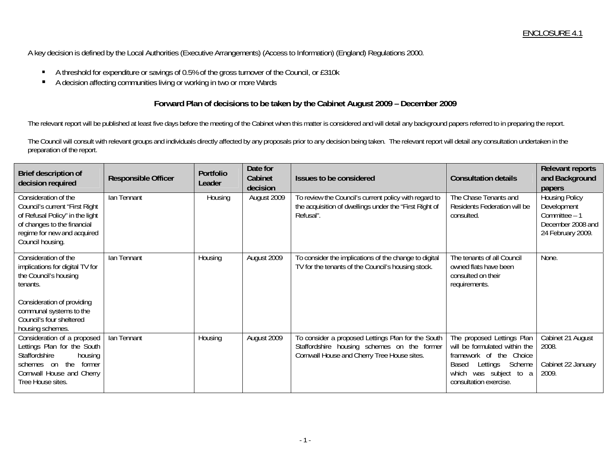A key decision is defined by the Local Authorities (Executive Arrangements) (Access to Information) (England) Regulations 2000.

- A threshold for expenditure or savings of 0.5% of the gross turnover of the Council, or £310k
- $\blacksquare$ A decision affecting communities living or working in two or more Wards

## **Forward Plan of decisions to be taken by the Cabinet August 2009 – December 2009**

The relevant report will be published at least five days before the meeting of the Cabinet when this matter is considered and will detail any background papers referred to in preparing the report.

The Council will consult with relevant groups and individuals directly affected by any proposals prior to any decision being taken. The relevant report will detail any consultation undertaken in the preparation of the report.

| Brief description of<br>decision required                                                                                                                                                             | <b>Responsible Officer</b> | Portfolio<br>Leader | Date for<br>Cabinet<br>decision | Issues to be considered                                                                                                                          | <b>Consultation details</b>                                                                                                                                                     | <b>Relevant reports</b><br>and Background<br>papers                                             |
|-------------------------------------------------------------------------------------------------------------------------------------------------------------------------------------------------------|----------------------------|---------------------|---------------------------------|--------------------------------------------------------------------------------------------------------------------------------------------------|---------------------------------------------------------------------------------------------------------------------------------------------------------------------------------|-------------------------------------------------------------------------------------------------|
| Consideration of the<br>Council's current "First Right<br>of Refusal Policy" in the light<br>of changes to the financial<br>regime for new and acquired<br>Council housing.                           | Ian Tennant                | Housing             | August 2009                     | To review the Council's current policy with regard to<br>the acquisition of dwellings under the "First Right of<br>Refusal".                     | The Chase Tenants and<br>Residents Federation will be<br>consulted.                                                                                                             | <b>Housing Policy</b><br>Development<br>Committee - 1<br>December 2008 and<br>24 February 2009. |
| Consideration of the<br>implications for digital TV for<br>the Council's housing<br>tenants.<br>Consideration of providing<br>communal systems to the<br>Council's four sheltered<br>housing schemes. | Ian Tennant                | Housing             | August 2009                     | To consider the implications of the change to digital<br>TV for the tenants of the Council's housing stock.                                      | The tenants of all Council<br>owned flats have been<br>consulted on their<br>requirements.                                                                                      | None.                                                                                           |
| Consideration of a proposed<br>Lettings Plan for the South<br>Staffordshire<br>housing<br>the<br>former<br>schemes on<br>Cornwall House and Cherry<br>Tree House sites.                               | Ian Tennant                | Housing             | August 2009                     | To consider a proposed Lettings Plan for the South<br>Staffordshire housing schemes on the former<br>Cornwall House and Cherry Tree House sites. | The proposed Lettings Plan<br>will be formulated within the<br>framework of the<br>Choice<br>Scheme<br>Lettings<br>Based<br>was subject to a<br>which<br>consultation exercise. | Cabinet 21 August<br>2008.<br>Cabinet 22 January<br>2009.                                       |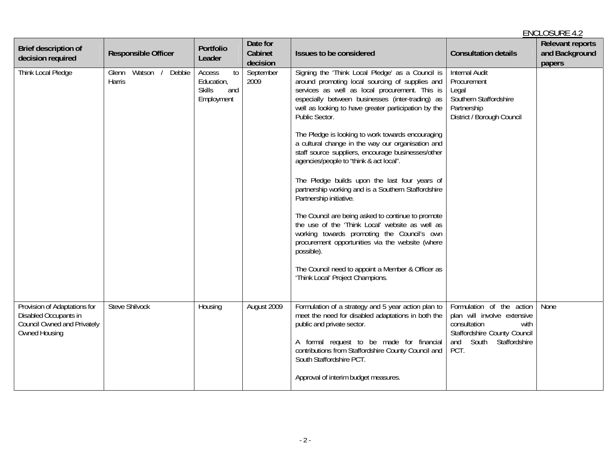|                                                                                                              |                                    |                                                                  |                                 |                                                                                                                                                                                                                                                                                                                                                                                                                                                                                                                                                                                                                                                                                                                                                                                                                                                                                                                                                      |                                                                                                                                                           | <b>ENCLOSURE 4.2</b>                                |
|--------------------------------------------------------------------------------------------------------------|------------------------------------|------------------------------------------------------------------|---------------------------------|------------------------------------------------------------------------------------------------------------------------------------------------------------------------------------------------------------------------------------------------------------------------------------------------------------------------------------------------------------------------------------------------------------------------------------------------------------------------------------------------------------------------------------------------------------------------------------------------------------------------------------------------------------------------------------------------------------------------------------------------------------------------------------------------------------------------------------------------------------------------------------------------------------------------------------------------------|-----------------------------------------------------------------------------------------------------------------------------------------------------------|-----------------------------------------------------|
| Brief description of<br>decision required                                                                    | <b>Responsible Officer</b>         | Portfolio<br>Leader                                              | Date for<br>Cabinet<br>decision | Issues to be considered                                                                                                                                                                                                                                                                                                                                                                                                                                                                                                                                                                                                                                                                                                                                                                                                                                                                                                                              | <b>Consultation details</b>                                                                                                                               | <b>Relevant reports</b><br>and Background<br>papers |
| Think Local Pledge                                                                                           | Watson / Debbie<br>Glenn<br>Harris | Access<br>to<br>Education,<br><b>Skills</b><br>and<br>Employment | September<br>2009               | Signing the 'Think Local Pledge' as a Council is<br>around promoting local sourcing of supplies and<br>services as well as local procurement. This is<br>especially between businesses (inter-trading) as<br>well as looking to have greater participation by the<br>Public Sector.<br>The Pledge is looking to work towards encouraging<br>a cultural change in the way our organisation and<br>staff source suppliers, encourage businesses/other<br>agencies/people to "think & act local".<br>The Pledge builds upon the last four years of<br>partnership working and is a Southern Staffordshire<br>Partnership initiative.<br>The Council are being asked to continue to promote<br>the use of the 'Think Local' website as well as<br>working towards promoting the Council's own<br>procurement opportunities via the website (where<br>possible).<br>The Council need to appoint a Member & Officer as<br>'Think Local' Project Champions. | <b>Internal Audit</b><br>Procurement<br>Legal<br>Southern Staffordshire<br>Partnership<br>District / Borough Council                                      |                                                     |
| Provision of Adaptations for<br>Disabled Occupants in<br><b>Council Owned and Privately</b><br>Owned Housing | <b>Steve Shilvock</b>              | Housing                                                          | August 2009                     | Formulation of a strategy and 5 year action plan to<br>meet the need for disabled adaptations in both the<br>public and private sector.<br>A formal request to be made for financial<br>contributions from Staffordshire County Council and<br>South Staffordshire PCT.<br>Approval of interim budget measures.                                                                                                                                                                                                                                                                                                                                                                                                                                                                                                                                                                                                                                      | Formulation of the action<br>plan will involve extensive<br>consultation<br>with<br>Staffordshire County Council<br>Staffordshire<br>South<br>and<br>PCT. | None                                                |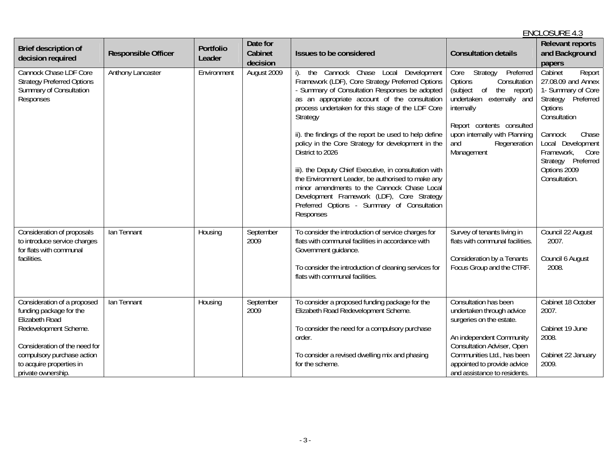## ENCLOSURE 4.3**Brief description of**  Portfolio **Portfolio Cabinet and Cabinet and Cabinet Accessible Officer Portfolio Cabinet decision issues to be considered <b>Cabinet decision issues to be considered** Consultation details and Background papers and Backgroun Cannock Chase LDF Core Strategy Preferred Options Summary of Consultation Responses Anthony Lancaster **Environment** August 2009 i). the Cannock Chase Local Development Framework (LDF), Core Strategy Preferred Options - Summary of Consultation Responses be adopted as an appropriate account of the consultation process undertaken for this stage of the LDF Core **Strategy** ii). the findings of the report be used to help define policy in the Core Strategy for development in the District to 2026 iii). the Deputy Chief Executive, in consultation with the Environment Leader, be authorised to make any minor amendments to the Cannock Chase Local Development Framework (LDF), Core Strategy Preferred Options - Summary of Consultation Responses Core Strategy Preferred Options Consultation (subject of the report) undertaken externally and internally Report contents consulted upon internally with Planning and Regeneration Management Cabinet Report 27.08.09 and Annex 1- Summary of Core Strategy Preferred **Options Consultation** Cannock Chase Local Development Framework, Core Strategy Preferred Options 2009 Consultation. Consideration of proposals to introduce service charges for flats with communal facilities. Ian Tennant Research Housing Reptember 2009 To consider the introduction of service charges for flats with communal facilities in accordance with Government guidance. To consider the introduction of cleaning services for flats with communal facilities. Survey of tenants living in flats with communal facilities. Consideration by a Tenants Focus Group and the CTRF. Council 22 August 2007. Council 6 August 2008. Consideration of a proposed funding package for the Elizabeth Road Redevelopment Scheme. Consideration of the need for compulsory purchase action to acquire properties in private ownership. Ian Tennant | Housing | September 2009 To consider a proposed funding package for the Elizabeth Road Redevelopment Scheme. To consider the need for a compulsory purchase order. To consider a revised dwelling mix and phasing for the scheme. Consultation has been undertaken through advice surgeries on the estate. An independent Community Consultation Adviser, Open Communities Ltd., has been appointed to provide advice and assistance to residents. Cabinet 18 October 2007. Cabinet 19 June 2008. Cabinet 22 January 2009.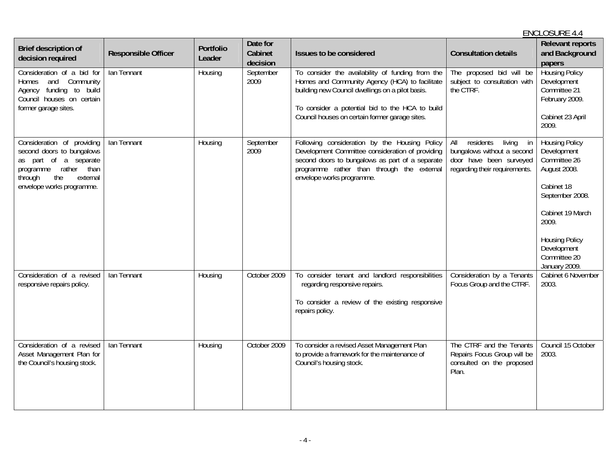## ENCLOSURE 4.4**Brief description of**  Portfolio **Portfolio Cabinet and Cabinet and Cabinet Accessible Officer Portfolio Cabinet decision issues to be considered <b>Cabinet decision issues to be considered** Consultation details and Background papers and Backgroun Consideration of a bid for Homes and Community Agency funding to build Council houses on certain former garage sites. Ian Tennant Research Housing Reptember 2009 To consider the availability of funding from the Homes and Community Agency (HCA) to facilitate building new Council dwellings on a pilot basis. To consider a potential bid to the HCA to build Council houses on certain former garage sites. The proposed bid will be subject to consultation with the CTRF. Housing Policy **Development** Committee 21 February 2009. Cabinet 23 April 2009. Consideration of providing second doors to bungalows as part of a separate programme rather than through the external envelope works programme. Ian Tennant Research Housing Reptember 2009 Following consideration by the Housing Policy Development Committee consideration of providing second doors to bungalows as part of a separate programme rather than through the external envelope works programme. All residents living in bungalows without a second door have been surveyed regarding their requirements. Housing Policy Development Committee 26 August 2008. Cabinet 18 September 2008. Cabinet 19 March 2009. Housing Policy Development Committee 20 January 2009. Consideration of a revised responsive repairs policy. Ian Tennant **Housing Corober 2009** To consider tenant and landlord responsibilities regarding responsive repairs. To consider a review of the existing responsive repairs policy. Consideration by a Tenants Focus Group and the CTRF. Cabinet 6 November 2003. Consideration of a revised Asset Management Plan for the Council's housing stock. Ian Tennant Housing Corober 2009 To consider a revised Asset Management Plan to provide a framework for the maintenance of Council's housing stock. The CTRF and the Tenants Repairs Focus Group will be consulted on the proposed Plan. Council 15 October 2003.